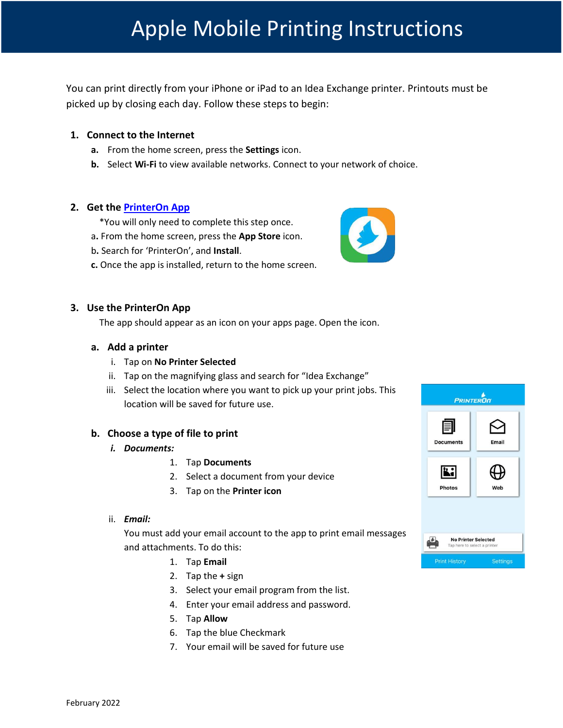# Apple Mobile Printing Instructions

You can print directly from your iPhone or iPad to an Idea Exchange printer. Printouts must be picked up by closing each day. Follow these steps to begin:

## **1. Connect to the Internet**

- **a.** From the home screen, press the **Settings** icon.
- **b.** Select **Wi-Fi** to view available networks. Connect to your network of choice.

# **2. Get the [PrinterOn App](https://itunes.apple.com/ca/app/printeron/id406584999?mt=8)**

- \*You will only need to complete this step once.
- a**.** From the home screen, press the **App Store** icon.
- b**.** Search for 'PrinterOn', and **Install**.
- **c.** Once the app is installed, return to the home screen.

# **3. Use the PrinterOn App**

The app should appear as an icon on your apps page. Open the icon.

## **a. Add a printer**

- i. Tap on **No Printer Selected**
- ii. Tap on the magnifying glass and search for "Idea Exchange"
- iii. Select the location where you want to pick up your print jobs. This location will be saved for future use.

## **b. Choose a type of file to print**

### *i. Documents:*

- 1. Tap **Documents**
- 2. Select a document from your device
- 3. Tap on the **Printer icon**

### ii. *Email:*

You must add your email account to the app to print email messages and attachments. To do this:

- 1. Tap **Email**
- 2. Tap the **+** sign
- 3. Select your email program from the list.
- 4. Enter your email address and password.
- 5. Tap **Allow**
- 6. Tap the blue Checkmark
- 7. Your email will be saved for future use